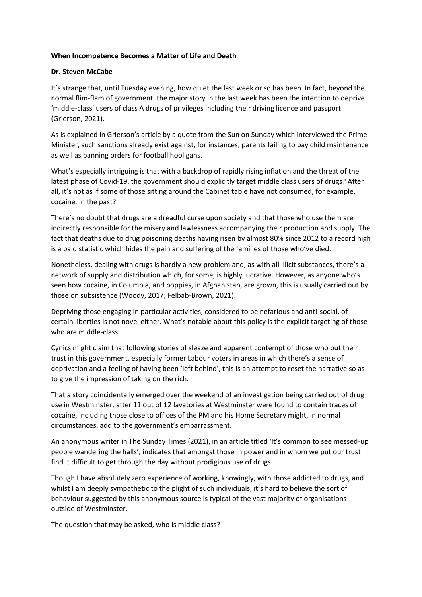## **When Incompetence Becomes a Matter of Life and Death**

## **Dr. Steven McCabe**

It's strange that, until Tuesday evening, how quiet the last week or so has been. In fact, beyond the normal flim-flam of government, the major story in the last week has been the intention to deprive 'middle-class' users of class A drugs of privileges including their driving licence and passport (Grierson, 2021).

As is explained in Grierson's article by a quote from the Sun on Sunday which interviewed the Prime Minister, such sanctions already exist against, for instances, parents failing to pay child maintenance as well as banning orders for football hooligans.

What's especially intriguing is that with a backdrop of rapidly rising inflation and the threat of the latest phase of Covid-19, the government should explicitly target middle class users of drugs? After all, it's not as if some of those sitting around the Cabinet table have not consumed, for example, cocaine, in the past?

There's no doubt that drugs are a dreadful curse upon society and that those who use them are indirectly responsible for the misery and lawlessness accompanying their production and supply. The fact that deaths due to drug poisoning deaths having risen by almost 80% since 2012 to a record high is a bald statistic which hides the pain and suffering of the families of those who've died.

Nonetheless, dealing with drugs is hardly a new problem and, as with all illicit substances, there's a network of supply and distribution which, for some, is highly lucrative. However, as anyone who's seen how cocaine, in Columbia, and poppies, in Afghanistan, are grown, this is usually carried out by those on subsistence (Woody, 2017; Felbab-Brown, 2021).

Depriving those engaging in particular activities, considered to be nefarious and anti-social, of certain liberties is not novel either. What's notable about this policy is the explicit targeting of those who are middle-class.

Cynics might claim that following stories of sleaze and apparent contempt of those who put their trust in this government, especially former Labour voters in areas in which there's a sense of deprivation and a feeling of having been 'left behind', this is an attempt to reset the narrative so as to give the impression of taking on the rich.

That a story coincidentally emerged over the weekend of an investigation being carried out of drug use in Westminster, after 11 out of 12 lavatories at Westminster were found to contain traces of cocaine, including those close to offices of the PM and his Home Secretary might, in normal circumstances, add to the government's embarrassment.

An anonymous writer in The Sunday Times (2021), in an article titled 'It's common to see messed-up people wandering the halls', indicates that amongst those in power and in whom we put our trust find it difficult to get through the day without prodigious use of drugs.

Though I have absolutely zero experience of working, knowingly, with those addicted to drugs, and whilst I am deeply sympathetic to the plight of such individuals, it's hard to believe the sort of behaviour suggested by this anonymous source is typical of the vast majority of organisations outside of Westminster.

The question that may be asked, who is middle class?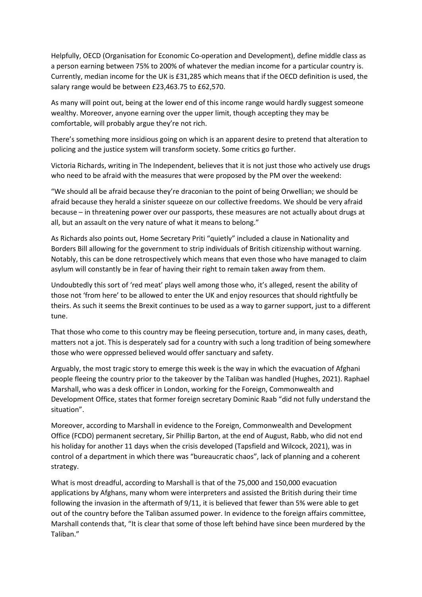Helpfully, OECD (Organisation for Economic Co-operation and Development), define middle class as a person earning between 75% to 200% of whatever the median income for a particular country is. Currently, median income for the UK is £31,285 which means that if the OECD definition is used, the salary range would be between £23,463.75 to £62,570.

As many will point out, being at the lower end of this income range would hardly suggest someone wealthy. Moreover, anyone earning over the upper limit, though accepting they may be comfortable, will probably argue they're not rich.

There's something more insidious going on which is an apparent desire to pretend that alteration to policing and the justice system will transform society. Some critics go further.

Victoria Richards, writing in The Independent, believes that it is not just those who actively use drugs who need to be afraid with the measures that were proposed by the PM over the weekend:

"We should all be afraid because they're draconian to the point of being Orwellian; we should be afraid because they herald a sinister squeeze on our collective freedoms. We should be very afraid because – in threatening power over our passports, these measures are not actually about drugs at all, but an assault on the very nature of what it means to belong."

As Richards also points out, Home Secretary Priti "quietly" included a clause in Nationality and Borders Bill allowing for the government to strip individuals of British citizenship without warning. Notably, this can be done retrospectively which means that even those who have managed to claim asylum will constantly be in fear of having their right to remain taken away from them.

Undoubtedly this sort of 'red meat' plays well among those who, it's alleged, resent the ability of those not 'from here' to be allowed to enter the UK and enjoy resources that should rightfully be theirs. As such it seems the Brexit continues to be used as a way to garner support, just to a different tune.

That those who come to this country may be fleeing persecution, torture and, in many cases, death, matters not a jot. This is desperately sad for a country with such a long tradition of being somewhere those who were oppressed believed would offer sanctuary and safety.

Arguably, the most tragic story to emerge this week is the way in which the evacuation of Afghani people fleeing the country prior to the takeover by the Taliban was handled (Hughes, 2021). Raphael Marshall, who was a desk officer in London, working for the Foreign, Commonwealth and Development Office, states that former foreign secretary Dominic Raab "did not fully understand the situation".

Moreover, according to Marshall in evidence to the Foreign, Commonwealth and Development Office (FCDO) permanent secretary, Sir Phillip Barton, at the end of August, Rabb, who did not end his holiday for another 11 days when the crisis developed (Tapsfield and Wilcock, 2021), was in control of a department in which there was "bureaucratic chaos", lack of planning and a coherent strategy.

What is most dreadful, according to Marshall is that of the 75,000 and 150,000 evacuation applications by Afghans, many whom were interpreters and assisted the British during their time following the invasion in the aftermath of 9/11, it is believed that fewer than 5% were able to get out of the country before the Taliban assumed power. In evidence to the foreign affairs committee, Marshall contends that, "It is clear that some of those left behind have since been murdered by the Taliban."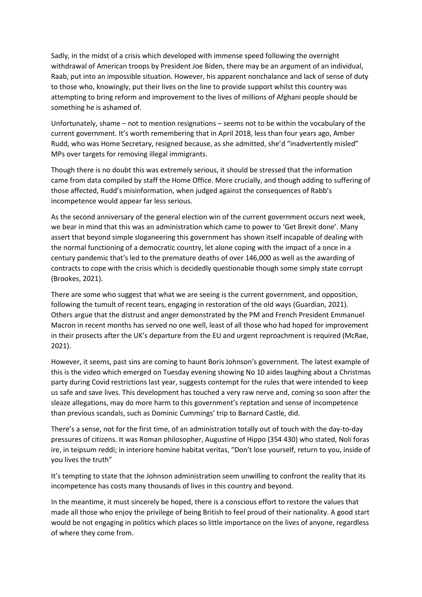Sadly, in the midst of a crisis which developed with immense speed following the overnight withdrawal of American troops by President Joe Biden, there may be an argument of an individual, Raab, put into an impossible situation. However, his apparent nonchalance and lack of sense of duty to those who, knowingly, put their lives on the line to provide support whilst this country was attempting to bring reform and improvement to the lives of millions of Afghani people should be something he is ashamed of.

Unfortunately, shame – not to mention resignations – seems not to be within the vocabulary of the current government. It's worth remembering that in April 2018, less than four years ago, Amber Rudd, who was Home Secretary, resigned because, as she admitted, she'd "inadvertently misled" MPs over targets for removing illegal immigrants.

Though there is no doubt this was extremely serious, it should be stressed that the information came from data compiled by staff the Home Office. More crucially, and though adding to suffering of those affected, Rudd's misinformation, when judged against the consequences of Rabb's incompetence would appear far less serious.

As the second anniversary of the general election win of the current government occurs next week, we bear in mind that this was an administration which came to power to 'Get Brexit done'. Many assert that beyond simple sloganeering this government has shown itself incapable of dealing with the normal functioning of a democratic country, let alone coping with the impact of a once in a century pandemic that's led to the premature deaths of over 146,000 as well as the awarding of contracts to cope with the crisis which is decidedly questionable though some simply state corrupt (Brookes, 2021).

There are some who suggest that what we are seeing is the current government, and opposition, following the tumult of recent tears, engaging in restoration of the old ways (Guardian, 2021). Others argue that the distrust and anger demonstrated by the PM and French President Emmanuel Macron in recent months has served no one well, least of all those who had hoped for improvement in their prosects after the UK's departure from the EU and urgent reproachment is required (McRae, 2021).

However, it seems, past sins are coming to haunt Boris Johnson's government. The latest example of this is the video which emerged on Tuesday evening showing No 10 aides laughing about a Christmas party during Covid restrictions last year, suggests contempt for the rules that were intended to keep us safe and save lives. This development has touched a very raw nerve and, coming so soon after the sleaze allegations, may do more harm to this government's reptation and sense of incompetence than previous scandals, such as Dominic Cummings' trip to Barnard Castle, did.

There's a sense, not for the first time, of an administration totally out of touch with the day-to-day pressures of citizens. It was Roman philosopher, Augustine of Hippo (354 430) who stated, Noli foras ire, in teipsum reddi; in interiore homine habitat veritas, "Don't lose yourself, return to you, inside of you lives the truth"

It's tempting to state that the Johnson administration seem unwilling to confront the reality that its incompetence has costs many thousands of lives in this country and beyond.

In the meantime, it must sincerely be hoped, there is a conscious effort to restore the values that made all those who enjoy the privilege of being British to feel proud of their nationality. A good start would be not engaging in politics which places so little importance on the lives of anyone, regardless of where they come from.